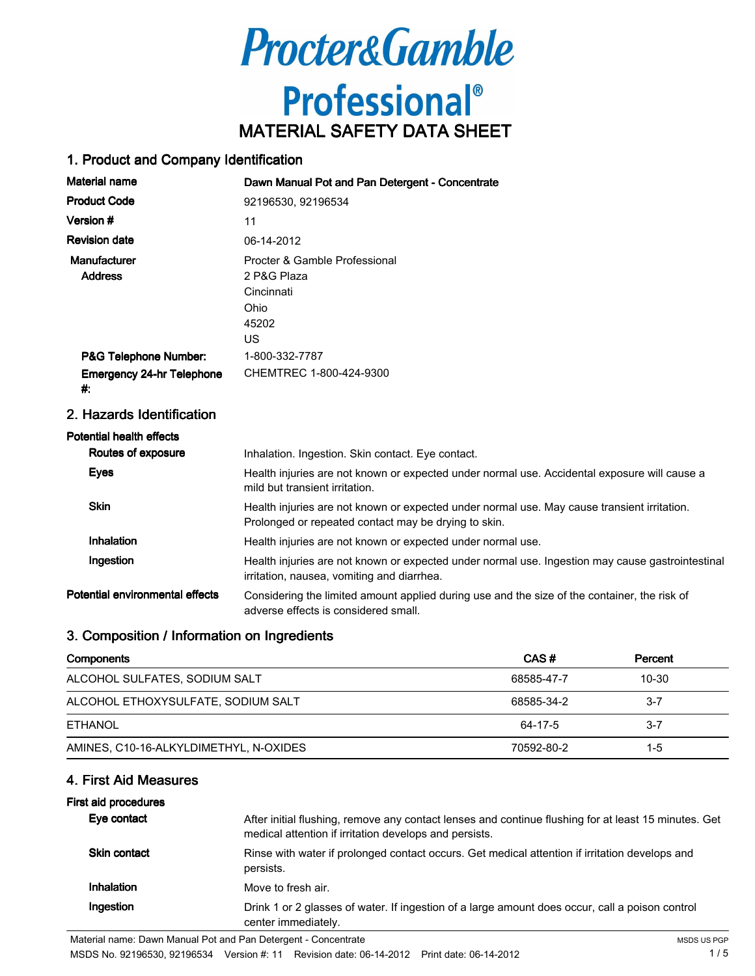

### 1. Product and Company Identification

| <b>Material name</b>                   | Dawn Manual Pot and Pan Detergent - Concentrate                                   |
|----------------------------------------|-----------------------------------------------------------------------------------|
| <b>Product Code</b>                    | 92196530, 92196534                                                                |
| Version #                              | 11                                                                                |
| <b>Revision date</b>                   | 06-14-2012                                                                        |
| Manufacturer<br><b>Address</b>         | Procter & Gamble Professional<br>2 P&G Plaza<br>Cincinnati<br>Ohio<br>45202<br>US |
| P&G Telephone Number:                  | 1-800-332-7787                                                                    |
| <b>Emergency 24-hr Telephone</b><br>₩. | CHEMTREC 1-800-424-9300                                                           |

### 2. Hazards Identification

## Potential health effects

| Routes of exposure              | Inhalation. Ingestion. Skin contact. Eye contact.                                                                                                   |
|---------------------------------|-----------------------------------------------------------------------------------------------------------------------------------------------------|
| <b>Eyes</b>                     | Health injuries are not known or expected under normal use. Accidental exposure will cause a<br>mild but transient irritation.                      |
| <b>Skin</b>                     | Health injuries are not known or expected under normal use. May cause transient irritation.<br>Prolonged or repeated contact may be drying to skin. |
| Inhalation                      | Health injuries are not known or expected under normal use.                                                                                         |
| Ingestion                       | Health injuries are not known or expected under normal use. Ingestion may cause gastrointestinal<br>irritation, nausea, vomiting and diarrhea.      |
| Potential environmental effects | Considering the limited amount applied during use and the size of the container, the risk of<br>adverse effects is considered small.                |

### 3. Composition / Information on Ingredients

| Components                             | CAS#       | Percent   |
|----------------------------------------|------------|-----------|
| ALCOHOL SULFATES, SODIUM SALT          | 68585-47-7 | $10 - 30$ |
| ALCOHOL ETHOXYSULFATE, SODIUM SALT     | 68585-34-2 | -3-7      |
| ETHANOL                                | 64-17-5    | $3 - 7$   |
| AMINES, C10-16-ALKYLDIMETHYL, N-OXIDES | 70592-80-2 | 1-5       |

## 4. First Aid Measures

#### First aid procedures

| Eye contact  | After initial flushing, remove any contact lenses and continue flushing for at least 15 minutes. Get<br>medical attention if irritation develops and persists. |
|--------------|----------------------------------------------------------------------------------------------------------------------------------------------------------------|
| Skin contact | Rinse with water if prolonged contact occurs. Get medical attention if irritation develops and<br>persists.                                                    |
| Inhalation   | Move to fresh air.                                                                                                                                             |
| Ingestion    | Drink 1 or 2 glasses of water. If ingestion of a large amount does occur, call a poison control<br>center immediately.                                         |

MSDS No. 92196530, 92196534 Version #: 11 Revision date: 06-14-2012 Print date: 06-14-2012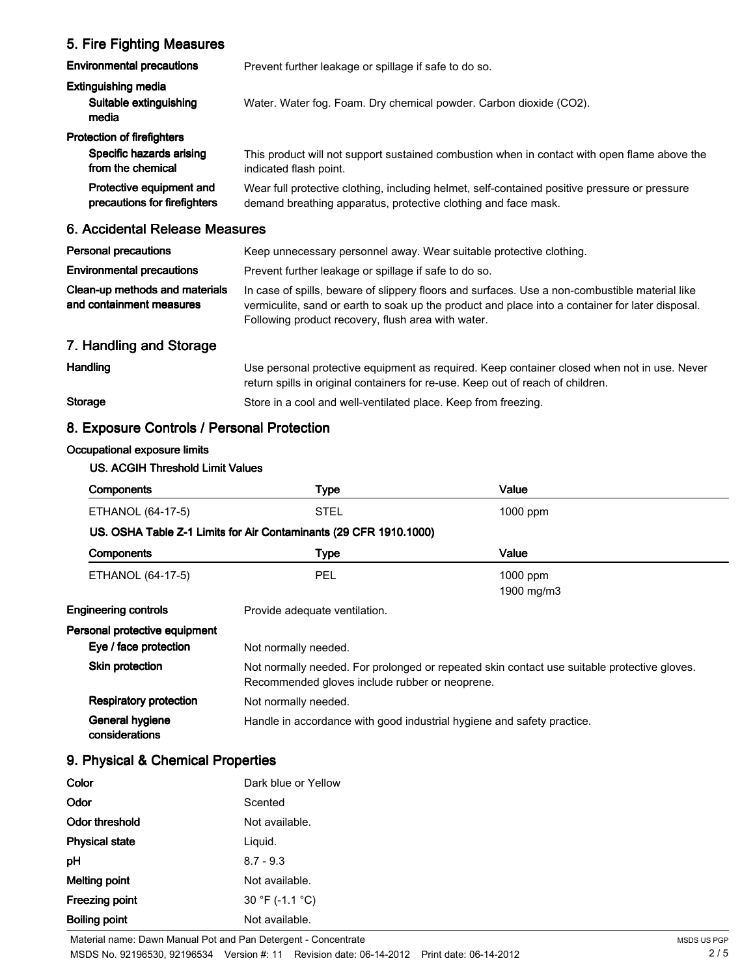# 5. Fire Fighting Measures

| <b>Environmental precautions</b>                                                   | Prevent further leakage or spillage if safe to do so.                                                                                                           |
|------------------------------------------------------------------------------------|-----------------------------------------------------------------------------------------------------------------------------------------------------------------|
| Extinguishing media<br>Suitable extinguishing<br>media                             | Water. Water fog. Foam. Dry chemical powder. Carbon dioxide (CO2).                                                                                              |
| <b>Protection of firefighters</b><br>Specific hazards arising<br>from the chemical | This product will not support sustained combustion when in contact with open flame above the<br>indicated flash point.                                          |
| Protective equipment and<br>precautions for firefighters                           | Wear full protective clothing, including helmet, self-contained positive pressure or pressure<br>demand breathing apparatus, protective clothing and face mask. |
| 6. Accidental Release Measures                                                     |                                                                                                                                                                 |

| <b>Personal precautions</b>                                | Keep unnecessary personnel away. Wear suitable protective clothing.                                                                                                                                                                                      |
|------------------------------------------------------------|----------------------------------------------------------------------------------------------------------------------------------------------------------------------------------------------------------------------------------------------------------|
| <b>Environmental precautions</b>                           | Prevent further leakage or spillage if safe to do so.                                                                                                                                                                                                    |
| Clean-up methods and materials<br>and containment measures | In case of spills, beware of slippery floors and surfaces. Use a non-combustible material like<br>vermiculite, sand or earth to soak up the product and place into a container for later disposal.<br>Following product recovery, flush area with water. |

# 7. Handling and Storage

Handling **Handling** Use personal protective equipment as required. Keep container closed when not in use. Never return spills in original containers for re-use. Keep out of reach of children. Storage Store in a cool and well-ventilated place. Keep from freezing.

# 8. Exposure Controls / Personal Protection

#### Occupational exposure limits

## US. ACGIH Threshold Limit Values

| <b>Components</b>                 | <b>Type</b>                                                                                                                                   | Value                  |
|-----------------------------------|-----------------------------------------------------------------------------------------------------------------------------------------------|------------------------|
| ETHANOL (64-17-5)                 | <b>STEL</b>                                                                                                                                   | 1000 ppm               |
|                                   | US. OSHA Table Z-1 Limits for Air Contaminants (29 CFR 1910.1000)                                                                             |                        |
| <b>Components</b>                 | <b>Type</b>                                                                                                                                   | Value                  |
| ETHANOL (64-17-5)                 | PEL                                                                                                                                           | 1000 ppm<br>1900 mg/m3 |
| Engineering controls              | Provide adequate ventilation.                                                                                                                 |                        |
| Personal protective equipment     |                                                                                                                                               |                        |
| Eye / face protection             | Not normally needed.                                                                                                                          |                        |
| Skin protection                   | Not normally needed. For prolonged or repeated skin contact use suitable protective gloves.<br>Recommended gloves include rubber or neoprene. |                        |
| <b>Respiratory protection</b>     | Not normally needed.                                                                                                                          |                        |
| General hygiene<br>considerations | Handle in accordance with good industrial hygiene and safety practice.                                                                        |                        |
|                                   |                                                                                                                                               |                        |

# 9. Physical & Chemical Properties

| Color                 | Dark blue or Yellow |
|-----------------------|---------------------|
| Odor                  | Scented             |
| Odor threshold        | Not available.      |
| <b>Physical state</b> | Liquid.             |
| рH                    | $8.7 - 9.3$         |
| <b>Melting point</b>  | Not available.      |
| <b>Freezing point</b> | 30 °F (-1.1 °C)     |
| <b>Boiling point</b>  | Not available.      |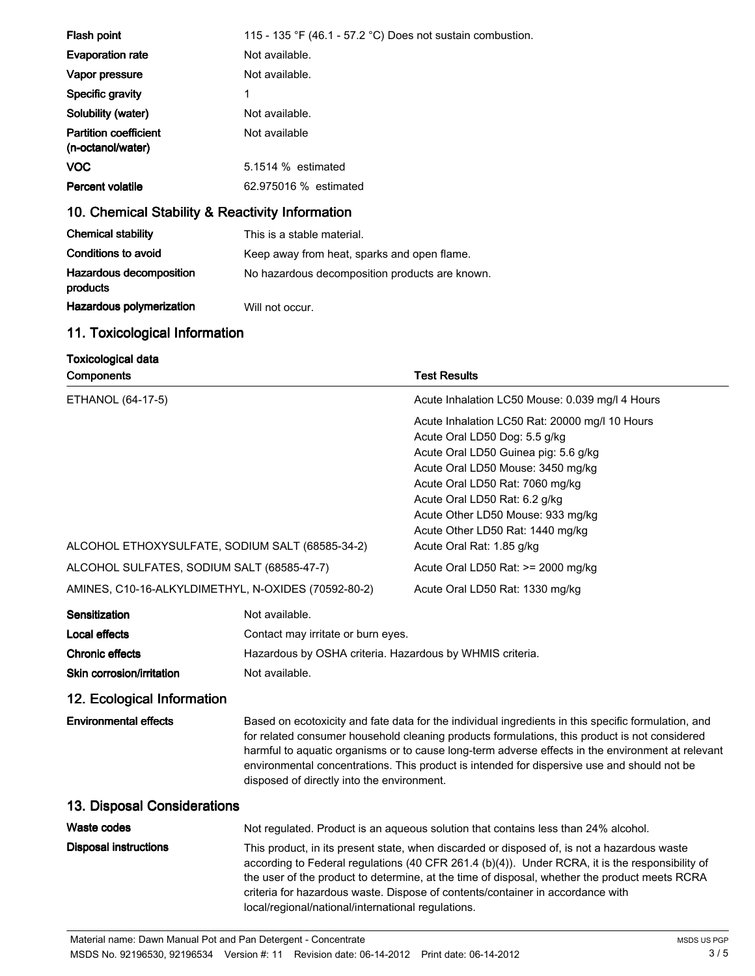| Flash point                                       | 115 - 135 °F (46.1 - 57.2 °C) Does not sustain combustion. |  |
|---------------------------------------------------|------------------------------------------------------------|--|
| <b>Evaporation rate</b>                           | Not available.                                             |  |
| Vapor pressure                                    | Not available.                                             |  |
| Specific gravity                                  | 1                                                          |  |
| Solubility (water)                                | Not available.                                             |  |
| <b>Partition coefficient</b><br>(n-octanol/water) | Not available                                              |  |
| <b>VOC</b>                                        | 5.1514 % estimated                                         |  |
| <b>Percent volatile</b>                           | 62.975016 % estimated                                      |  |
| 10. Chemical Stability & Reactivity Information   |                                                            |  |
| <b>Chemical stability</b>                         | This is a stable material.                                 |  |
| Conditions to avoid                               | Keep away from heat, sparks and open flame.                |  |
| Hazardous decomposition<br>products               | No hazardous decomposition products are known.             |  |
| Hazardous polymerization                          | Will not occur.                                            |  |

# 11. Toxicological Information

| <b>Toxicological data</b><br><b>Components</b>           |                                                                                                                                                                                                                                                                                                                                                                                                                                                        | <b>Test Results</b>                                                                                                                                                                                                                                                                                       |  |
|----------------------------------------------------------|--------------------------------------------------------------------------------------------------------------------------------------------------------------------------------------------------------------------------------------------------------------------------------------------------------------------------------------------------------------------------------------------------------------------------------------------------------|-----------------------------------------------------------------------------------------------------------------------------------------------------------------------------------------------------------------------------------------------------------------------------------------------------------|--|
| ETHANOL (64-17-5)                                        |                                                                                                                                                                                                                                                                                                                                                                                                                                                        | Acute Inhalation LC50 Mouse: 0.039 mg/l 4 Hours                                                                                                                                                                                                                                                           |  |
|                                                          |                                                                                                                                                                                                                                                                                                                                                                                                                                                        | Acute Inhalation LC50 Rat: 20000 mg/l 10 Hours<br>Acute Oral LD50 Dog: 5.5 g/kg<br>Acute Oral LD50 Guinea pig: 5.6 g/kg<br>Acute Oral LD50 Mouse: 3450 mg/kg<br>Acute Oral LD50 Rat: 7060 mg/kg<br>Acute Oral LD50 Rat: 6.2 g/kg<br>Acute Other LD50 Mouse: 933 mg/kg<br>Acute Other LD50 Rat: 1440 mg/kg |  |
| ALCOHOL ETHOXYSULFATE, SODIUM SALT (68585-34-2)          |                                                                                                                                                                                                                                                                                                                                                                                                                                                        | Acute Oral Rat: 1.85 g/kg                                                                                                                                                                                                                                                                                 |  |
| ALCOHOL SULFATES, SODIUM SALT (68585-47-7)               |                                                                                                                                                                                                                                                                                                                                                                                                                                                        | Acute Oral LD50 Rat: >= 2000 mg/kg                                                                                                                                                                                                                                                                        |  |
| AMINES, C10-16-ALKYLDIMETHYL, N-OXIDES (70592-80-2)      |                                                                                                                                                                                                                                                                                                                                                                                                                                                        | Acute Oral LD50 Rat: 1330 mg/kg                                                                                                                                                                                                                                                                           |  |
| Sensitization<br>Local effects<br><b>Chronic effects</b> | Not available.<br>Contact may irritate or burn eyes.<br>Hazardous by OSHA criteria. Hazardous by WHMIS criteria.                                                                                                                                                                                                                                                                                                                                       |                                                                                                                                                                                                                                                                                                           |  |
| Skin corrosion/irritation                                | Not available.                                                                                                                                                                                                                                                                                                                                                                                                                                         |                                                                                                                                                                                                                                                                                                           |  |
| 12. Ecological Information                               |                                                                                                                                                                                                                                                                                                                                                                                                                                                        |                                                                                                                                                                                                                                                                                                           |  |
| <b>Environmental effects</b>                             | Based on ecotoxicity and fate data for the individual ingredients in this specific formulation, and<br>for related consumer household cleaning products formulations, this product is not considered<br>harmful to aquatic organisms or to cause long-term adverse effects in the environment at relevant<br>environmental concentrations. This product is intended for dispersive use and should not be<br>disposed of directly into the environment. |                                                                                                                                                                                                                                                                                                           |  |
| 13. Disposal Considerations                              |                                                                                                                                                                                                                                                                                                                                                                                                                                                        |                                                                                                                                                                                                                                                                                                           |  |
| <b>Waste codes</b>                                       |                                                                                                                                                                                                                                                                                                                                                                                                                                                        | Not regulated. Product is an aqueous solution that contains less than 24% alcohol.                                                                                                                                                                                                                        |  |
| <b>Disposal instructions</b>                             | This product, in its present state, when discarded or disposed of, is not a hazardous waste<br>according to Federal regulations (40 CFR 261.4 (b)(4)). Under RCRA, it is the responsibility of<br>the user of the product to determine, at the time of disposal, whether the product meets RCRA<br>criteria for hazardous waste. Dispose of contents/container in accordance with<br>local/regional/national/international regulations.                |                                                                                                                                                                                                                                                                                                           |  |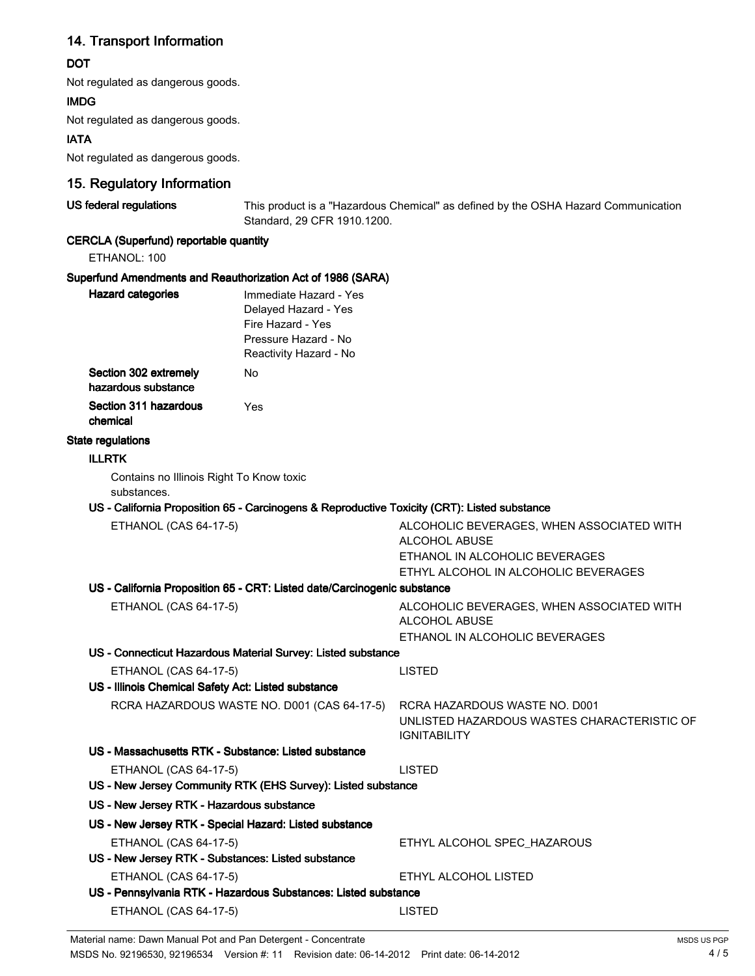# 14. Transport Information

### **DOT**

Not regulated as dangerous goods.

#### IMDG

Not regulated as dangerous goods.

### IATA

Not regulated as dangerous goods.

## 15. Regulatory Information

US federal regulations This product is a "Hazardous Chemical" as defined by the OSHA Hazard Communication Standard, 29 CFR 1910.1200.

## CERCLA (Superfund) reportable quantity

ETHANOL: 100

### Superfund Amendments and Reauthorization Act of 1986 (SARA)

| <b>Hazard categories</b>                     | Immediate Hazard - Yes<br>Delayed Hazard - Yes<br>Fire Hazard - Yes<br>Pressure Hazard - No<br>Reactivity Hazard - No |
|----------------------------------------------|-----------------------------------------------------------------------------------------------------------------------|
| Section 302 extremely<br>hazardous substance | N٥                                                                                                                    |
| Section 311 hazardous<br>chemical            | Yes                                                                                                                   |

#### State regulations

#### ILLRTK

Contains no Illinois Right To Know toxic substances.

#### US - California Proposition 65 - Carcinogens & Reproductive Toxicity (CRT): Listed substance

| ETHANOL (CAS 64-17-5)                                                    | ALCOHOLIC BEVERAGES, WHEN ASSOCIATED WITH<br>ALCOHOL ABUSE         |
|--------------------------------------------------------------------------|--------------------------------------------------------------------|
|                                                                          | ETHANOL IN ALCOHOLIC BEVERAGES                                     |
|                                                                          | ETHYL ALCOHOL IN ALCOHOLIC BEVERAGES                               |
| US - California Proposition 65 - CRT: Listed date/Carcinogenic substance |                                                                    |
| ETHANOL (CAS 64-17-5)                                                    | ALCOHOLIC BEVERAGES, WHEN ASSOCIATED WITH<br>ALCOHOL ABUSE         |
|                                                                          | ETHANOL IN ALCOHOLIC BEVERAGES                                     |
| US - Connecticut Hazardous Material Survey: Listed substance             |                                                                    |
| ETHANOL (CAS 64-17-5)                                                    | <b>LISTED</b>                                                      |
| US - Illinois Chemical Safety Act: Listed substance                      |                                                                    |
| RCRA HAZARDOUS WASTE NO. D001 (CAS 64-17-5)                              | RCRA HAZARDOUS WASTE NO. D001                                      |
|                                                                          | UNLISTED HAZARDOUS WASTES CHARACTERISTIC OF<br><b>IGNITABILITY</b> |
| US - Massachusetts RTK - Substance: Listed substance                     |                                                                    |
| ETHANOL (CAS 64-17-5)                                                    | <b>LISTED</b>                                                      |
| US - New Jersey Community RTK (EHS Survey): Listed substance             |                                                                    |
| US - New Jersey RTK - Hazardous substance                                |                                                                    |
| US - New Jersey RTK - Special Hazard: Listed substance                   |                                                                    |
| <b>ETHANOL (CAS 64-17-5)</b>                                             | ETHYL ALCOHOL SPEC_HAZAROUS                                        |
| US - New Jersey RTK - Substances: Listed substance                       |                                                                    |
| ETHANOL (CAS 64-17-5)                                                    | ETHYL ALCOHOL LISTED                                               |
| US - Pennsylvania RTK - Hazardous Substances: Listed substance           |                                                                    |
| ETHANOL (CAS 64-17-5)                                                    | <b>LISTED</b>                                                      |